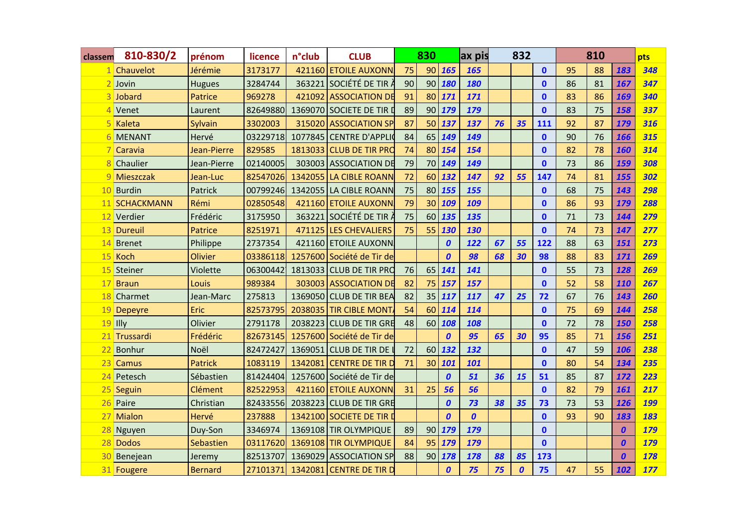| classem         | 810-830/2      | prénom         | licence  | n°club  | <b>CLUB</b>               |    | 830             |                  | ax pis           |    | 832              |              |    | 810 |                  | pts        |
|-----------------|----------------|----------------|----------|---------|---------------------------|----|-----------------|------------------|------------------|----|------------------|--------------|----|-----|------------------|------------|
|                 | 1 Chauvelot    | Jérémie        | 3173177  |         | 421160 ETOILE AUXONN      | 75 | 90 <sup>1</sup> | 165              | 165              |    |                  | $\mathbf{0}$ | 95 | 88  | 183              | 348        |
|                 | Jovin          | <b>Hugues</b>  | 3284744  |         | 363221 SOCIÉTÉ DE TIR À   | 90 | 90 <sub>1</sub> | 180              | 180              |    |                  | $\mathbf{0}$ | 86 | 81  | 167              | 347        |
|                 | Jobard         | Patrice        | 969278   |         | 421092 ASSOCIATION DE     | 91 | 80 <sup>1</sup> | 171              | 171              |    |                  | $\mathbf{0}$ | 83 | 86  | 169              | 340        |
|                 | Venet          | Laurent        | 82649880 |         | 1369070 SOCIETE DE TIR D  | 89 | 90 <sub>1</sub> | 179              | 179              |    |                  | $\mathbf{0}$ | 83 | 75  | 158              | 337        |
|                 | Kaleta         | Sylvain        | 3302003  |         | 315020 ASSOCIATION SP     | 87 | 50              | 137              | 137              | 76 | 35               | 111          | 92 | 87  | 179              | 316        |
|                 | <b>MENANT</b>  | Hervé          | 03229718 |         | 1077845 CENTRE D'APPLIO   | 84 | 65              | 149              | 149              |    |                  | $\mathbf{0}$ | 90 | 76  | 166              | 315        |
|                 | Caravia        | Jean-Pierre    | 829585   |         | 1813033 CLUB DE TIR PRO   | 74 | 80 <sup>1</sup> | 154              | 154              |    |                  | $\mathbf{0}$ | 82 | 78  | 160              | 314        |
|                 | Chaulier       | Jean-Pierre    | 02140005 |         | 303003 ASSOCIATION DE     | 79 | 70              | 149              | 149              |    |                  | $\mathbf{0}$ | 73 | 86  | 159              | 308        |
| Q               | Mieszczak      | Jean-Luc       | 82547026 |         | 1342055 LA CIBLE ROANN    | 72 | 60              | 132              | 147              | 92 | 55               | 147          | 74 | 81  | 155              | 302        |
| 10              | <b>Burdin</b>  | Patrick        | 00799246 |         | 1342055 LA CIBLE ROANN    | 75 | 80 <sup>1</sup> | 155              | 155              |    |                  | $\mathbf{0}$ | 68 | 75  | 143              | 298        |
| 11              | SCHACKMANN     | Rémi           | 02850548 |         | 421160 ETOILE AUXONN      | 79 | 30              | 109              | 109              |    |                  | $\mathbf{0}$ | 86 | 93  | 179              | 288        |
| 12 <sup>1</sup> | Verdier        | Frédéric       | 3175950  | 363221  | SOCIÉTÉ DE TIR À          | 75 | 60              | 135              | 135              |    |                  | $\mathbf{0}$ | 71 | 73  | 144              | 279        |
| 13              | Dureuil        | Patrice        | 8251971  |         | 471125 LES CHEVALIERS     | 75 | 55              | 130              | 130              |    |                  | $\mathbf{0}$ | 74 | 73  | 147              | 277        |
| 14              | Brenet         | Philippe       | 2737354  |         | 421160 ETOILE AUXONN.     |    |                 | 0                | 122              | 67 | 55               | 122          | 88 | 63  | 151              | 273        |
| 15              | Koch           | <b>Olivier</b> | 03386118 |         | 1257600 Société de Tir de |    |                 | $\boldsymbol{0}$ | 98               | 68 | 30               | 98           | 88 | 83  | 171              | 269        |
| 15              | Steiner        | Violette       | 06300442 |         | 1813033 CLUB DE TIR PRO   | 76 | 65              | 141              | 141              |    |                  | $\mathbf{0}$ | 55 | 73  | 128              | 269        |
|                 | 17 Braun       | Louis          | 989384   |         | 303003 ASSOCIATION DE     | 82 | 75              | 157              | 157              |    |                  | $\mathbf{0}$ | 52 | 58  | 110              | 267        |
| 18              | Charmet        | Jean-Marc      | 275813   |         | 1369050 CLUB DE TIR BEA   | 82 | 35              | 117              | 117              | 47 | 25               | 72           | 67 | 76  | 143              | 260        |
| 19              | <b>Depeyre</b> | Eric           | 82573795 |         | 2038035 TIR CIBLE MONT.   | 54 | 60              | 114              | 114              |    |                  | $\mathbf{0}$ | 75 | 69  | 144              | 258        |
|                 | $19$ Illy      | Olivier        | 2791178  |         | 2038223 CLUB DE TIR GRE   | 48 | 60              | 108              | 108              |    |                  | $\mathbf{0}$ | 72 | 78  | 150              | 258        |
|                 | 21 Trussardi   | Frédéric       | 82673145 |         | 1257600 Société de Tir de |    |                 | $\boldsymbol{0}$ | 95               | 65 | 30               | 95           | 85 | 71  | 156              | 251        |
| 22              | <b>Bonhur</b>  | Noël           | 82472427 |         | 1369051 CLUB DE TIR DE I  | 72 | 60              | 132              | 132              |    |                  | $\mathbf{0}$ | 47 | 59  | 106              | 238        |
| 23              | <b>Camus</b>   | <b>Patrick</b> | 1083119  | 1342081 | <b>CENTRE DE TIR D</b>    | 71 | 30              | 101              | 101              |    |                  | $\mathbf{0}$ | 80 | 54  | 134              | 235        |
| 24              | Petesch        | Sébastien      | 81424404 |         | 1257600 Société de Tir de |    |                 | $\boldsymbol{0}$ | 51               | 36 | 15               | 51           | 85 | 87  | 172              | 223        |
| 25              | Seguin         | Clément        | 82522953 |         | 421160 ETOILE AUXONN      | 31 | 25              | 56               | 56               |    |                  | $\mathbf{0}$ | 82 | 79  | 161              | 217        |
| 26              | Paire          | Christian      | 82433556 |         | 2038223 CLUB DE TIR GRE   |    |                 | $\boldsymbol{0}$ | 73               | 38 | 35               | 73           | 73 | 53  | 126              | <b>199</b> |
| 27              | Mialon         | Hervé          | 237888   |         | 1342100 SOCIETE DE TIR I  |    |                 | $\boldsymbol{0}$ | $\boldsymbol{0}$ |    |                  | $\mathbf{0}$ | 93 | 90  | 183              | 183        |
| 28              | Nguyen         | Duy-Son        | 3346974  |         | 1369108 TIR OLYMPIQUE     | 89 | 90 <sup>1</sup> | 179              | 179              |    |                  | $\mathbf{0}$ |    |     | $\boldsymbol{0}$ | 179        |
|                 | 28 Dodos       | Sebastien      | 03117620 |         | 1369108 TIR OLYMPIQUE     | 84 | 95              | 179              | 179              |    |                  | $\mathbf{0}$ |    |     | 0                | <b>179</b> |
| 30              | Benejean       | Jeremy         | 82513707 |         | 1369029 ASSOCIATION SP    | 88 | 90              | 178              | 178              | 88 | 85               | 173          |    |     | $\boldsymbol{0}$ | 178        |
|                 | 31 Fougere     | <b>Bernard</b> | 27101371 |         | 1342081 CENTRE DE TIR D   |    |                 | $\boldsymbol{0}$ | 75               | 75 | $\boldsymbol{0}$ | 75           | 47 | 55  | 102              | 177        |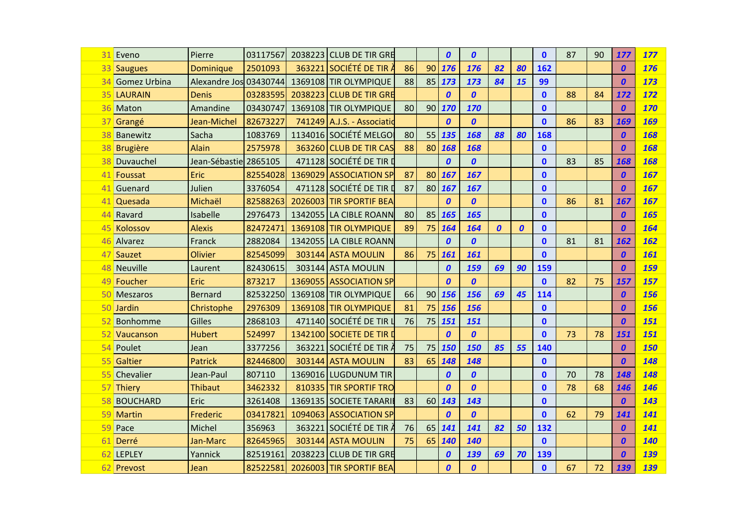| 31  | Eveno           | Pierre                 | 03117567 | 2038223 CLUB DE TIR GRE    |    |                 | $\boldsymbol{0}$ | $\boldsymbol{0}$ |                  |                  | $\mathbf{0}$ | 87 | 90 | 177              | 177        |
|-----|-----------------|------------------------|----------|----------------------------|----|-----------------|------------------|------------------|------------------|------------------|--------------|----|----|------------------|------------|
|     | 33 Saugues      | Dominique              | 2501093  | $363221$ SOCIÉTÉ DE TIR À  | 86 | 90              | 176              | 176              | 82               | 80               | 162          |    |    | $\boldsymbol{0}$ | 176        |
| 34  | Gomez Urbina    | Alexandre Jos 03430744 |          | 1369108 TIR OLYMPIQUE      | 88 | 85              | 173              | 173              | 84               | 15               | 99           |    |    | $\boldsymbol{0}$ | 173        |
|     | 35 LAURAIN      | <b>Denis</b>           | 03283595 | 2038223 CLUB DE TIR GRE    |    |                 | $\boldsymbol{0}$ | $\boldsymbol{0}$ |                  |                  | $\mathbf{0}$ | 88 | 84 | 172              | 172        |
| 36  | Maton           | Amandine               | 03430747 | 1369108 TIR OLYMPIQUE      | 80 | 90              | 170              | 170              |                  |                  | $\mathbf{0}$ |    |    | $\boldsymbol{0}$ | 170        |
|     | 37 Grangé       | Jean-Michel            | 82673227 | 741249 A.J.S. - Associatid |    |                 | $\boldsymbol{0}$ | $\boldsymbol{0}$ |                  |                  | $\mathbf{0}$ | 86 | 83 | 169              | 169        |
| 38  | Banewitz        | Sacha                  | 1083769  | 1134016 SOCIÉTÉ MELGOI     | 80 | 55              | 135              | 168              | 88               | 80               | 168          |    |    | $\boldsymbol{0}$ | 168        |
| 38  | Brugière        | <b>Alain</b>           | 2575978  | 363260 CLUB DE TIR CAS     | 88 | 80              | 168              | 168              |                  |                  | $\mathbf{0}$ |    |    | $\boldsymbol{0}$ | 168        |
| 38  | Duvauchel       | Jean-Sébastie 2865105  |          | 471128 SOCIÉTÉ DE TIR I    |    |                 | $\boldsymbol{0}$ | $\boldsymbol{0}$ |                  |                  | $\mathbf{0}$ | 83 | 85 | 168              | 168        |
| 41  | Foussat         | Eric                   | 82554028 | 1369029 ASSOCIATION SP     | 87 | 80              | 167              | 167              |                  |                  | $\mathbf{0}$ |    |    | $\boldsymbol{0}$ | 167        |
| 41  | Guenard         | Julien                 | 3376054  | 471128 SOCIÉTÉ DE TIR D    | 87 | 80 <sup>1</sup> | 167              | 167              |                  |                  | $\mathbf{0}$ |    |    | $\boldsymbol{0}$ | 167        |
|     | 41 Quesada      | Michaël                | 82588263 | 2026003 TIR SPORTIF BEA    |    |                 | $\boldsymbol{0}$ | $\boldsymbol{0}$ |                  |                  | $\mathbf{0}$ | 86 | 81 | 167              | 167        |
| 44  | Ravard          | Isabelle               | 2976473  | 1342055 LA CIBLE ROANN     | 80 | 85              | 165              | 165              |                  |                  | $\mathbf{0}$ |    |    | $\boldsymbol{0}$ | 165        |
| 45  | Kolossov        | <b>Alexis</b>          | 82472471 | 1369108 TIR OLYMPIQUE      | 89 | 75              | 164              | 164              | $\boldsymbol{0}$ | $\boldsymbol{0}$ | $\mathbf{0}$ |    |    | $\boldsymbol{0}$ | 164        |
| 46  | Alvarez         | Franck                 | 2882084  | 1342055 LA CIBLE ROANN     |    |                 | $\boldsymbol{0}$ | $\boldsymbol{0}$ |                  |                  | $\mathbf{0}$ | 81 | 81 | 162              | 162        |
|     | 47 Sauzet       | <b>Olivier</b>         | 82545099 | 303144 ASTA MOULIN         | 86 | 75              | 161              | 161              |                  |                  | $\mathbf{0}$ |    |    | $\boldsymbol{0}$ | 161        |
| 48  | Neuville        | Laurent                | 82430615 | 303144 ASTA MOULIN         |    |                 | $\boldsymbol{0}$ | 159              | 69               | 90               | 159          |    |    | $\boldsymbol{0}$ | 159        |
| 49  | Foucher         | Eric                   | 873217   | 1369055 ASSOCIATION SP     |    |                 | $\boldsymbol{0}$ | $\boldsymbol{0}$ |                  |                  | $\mathbf{0}$ | 82 | 75 | 157              | 157        |
| 50  | Meszaros        | <b>Bernard</b>         | 82532250 | 1369108 TIR OLYMPIQUE      | 66 | 90              | 156              | 156              | 69               | 45               | 114          |    |    | $\boldsymbol{0}$ | 156        |
| 50  | Jardin          | Christophe             | 2976309  | 1369108 TIR OLYMPIQUE      | 81 | 75              | 156              | 156              |                  |                  | $\mathbf{0}$ |    |    | $\boldsymbol{0}$ | 156        |
| 52  | Bonhomme        | <b>Gilles</b>          | 2868103  | 471140 SOCIÉTÉ DE TIR I    | 76 | 75              | 151              | 151              |                  |                  | $\mathbf{0}$ |    |    | 0                | 151        |
|     | 52 Vaucanson    | <b>Hubert</b>          | 524997   | 1342100 SOCIETE DE TIR     |    |                 | $\boldsymbol{0}$ | $\boldsymbol{0}$ |                  |                  | $\mathbf{0}$ | 73 | 78 | 151              | 151        |
| 54  | Poulet          | Jean                   | 3377256  | 363221 SOCIÉTÉ DE TIR À    | 75 | 75              | 150              | 150              | 85               | 55               | 140          |    |    | $\boldsymbol{0}$ | <b>150</b> |
| 55  | Galtier         | <b>Patrick</b>         | 82446800 | 303144 ASTA MOULIN         | 83 | 65              | 148              | 148              |                  |                  | $\mathbf{0}$ |    |    | 0                | 148        |
| 551 | Chevalier       | Jean-Paul              | 807110   | 1369016 LUGDUNUM TIR       |    |                 | $\boldsymbol{0}$ | $\boldsymbol{0}$ |                  |                  | $\mathbf{0}$ | 70 | 78 | 148              | 148        |
| 57  | Thiery          | <b>Thibaut</b>         | 3462332  | 810335 TIR SPORTIF TRO     |    |                 | $\boldsymbol{0}$ | $\boldsymbol{0}$ |                  |                  | $\mathbf{0}$ | 78 | 68 | 146              | 146        |
| 58  | <b>BOUCHARD</b> | Eric                   | 3261408  | 1369135 SOCIETE TARARII    | 83 | 60              | 143              | 143              |                  |                  | $\mathbf{0}$ |    |    | $\boldsymbol{0}$ | 143        |
| 59  | Martin          | Frederic               | 03417821 | 1094063 ASSOCIATION SP     |    |                 | $\boldsymbol{0}$ | $\boldsymbol{0}$ |                  |                  | $\mathbf{0}$ | 62 | 79 | 141              | 141        |
| 59  | Pace            | Michel                 | 356963   | 363221 SOCIÉTÉ DE TIR À    | 76 | 65              | 141              | 141              | 82               | 50               | 132          |    |    | $\boldsymbol{0}$ | 141        |
|     | 61 Derré        | Jan-Marc               | 82645965 | 303144 ASTA MOULIN         | 75 | 65              | 140              | 140              |                  |                  | $\mathbf{0}$ |    |    | 0                | 140        |
|     | 62 LEPLEY       | Yannick                | 82519161 | 2038223 CLUB DE TIR GRE    |    |                 | $\boldsymbol{0}$ | 139              | 69               | 70               | 139          |    |    | $\boldsymbol{0}$ | 139        |
|     | 62 Prevost      | Jean                   | 82522581 | 2026003 TIR SPORTIF BEA    |    |                 | $\boldsymbol{0}$ | $\boldsymbol{0}$ |                  |                  | $\mathbf 0$  | 67 | 72 | 139              | 139        |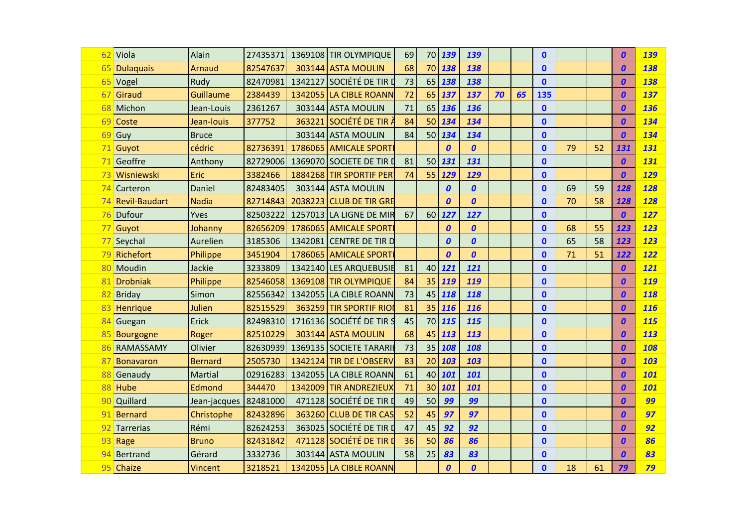|     | 62 Viola             | Alain            | 27435371 |         | 1369108 TIR OLYMPIQUE    | 69 | 70 | 139              | 139              |    |    | $\mathbf{0}$ |    |    | $\boldsymbol{0}$ | 139 |
|-----|----------------------|------------------|----------|---------|--------------------------|----|----|------------------|------------------|----|----|--------------|----|----|------------------|-----|
| 65  | <b>Dulaquais</b>     | Arnaud           | 82547637 |         | 303144 ASTA MOULIN       | 68 | 70 | 138              | 138              |    |    | $\mathbf{0}$ |    |    | $\boldsymbol{0}$ | 138 |
|     | 65 Vogel             | Rudy             | 82470981 |         | 1342127 SOCIÉTÉ DE TIR I | 73 | 65 | 138              | 138              |    |    | $\mathbf{0}$ |    |    | $\boldsymbol{0}$ | 138 |
| 67  | Giraud               | <b>Guillaume</b> | 2384439  | 1342055 | LA CIBLE ROANN           | 72 | 65 | 137              | 137              | 70 | 65 | 135          |    |    | $\boldsymbol{0}$ | 137 |
| 68  | Michon               | Jean-Louis       | 2361267  |         | 303144 ASTA MOULIN       | 71 | 65 | 136              | 136              |    |    | $\mathbf{0}$ |    |    | $\boldsymbol{0}$ | 136 |
|     | 69 Coste             | Jean-louis       | 377752   | 363221  | Société de Tir <i>ì</i>  | 84 | 50 | 134              | 134              |    |    | $\mathbf{0}$ |    |    | $\boldsymbol{0}$ | 134 |
| 69  | Guy                  | <b>Bruce</b>     |          |         | 303144 ASTA MOULIN       | 84 | 50 | 134              | 134              |    |    | $\mathbf{0}$ |    |    | $\boldsymbol{0}$ | 134 |
|     | 71 Guyot             | cédric           | 82736391 |         | 1786065 AMICALE SPORT    |    |    | $\boldsymbol{0}$ | $\boldsymbol{0}$ |    |    | $\mathbf{0}$ | 79 | 52 | 131              | 131 |
| 71  | Geoffre              | Anthony          | 82729006 |         | 1369070 SOCIETE DE TIR I | 81 | 50 | 131              | 131              |    |    | $\mathbf{0}$ |    |    | $\boldsymbol{0}$ | 131 |
| 731 | Wisniewski           | Eric             | 3382466  |         | 1884268 TIR SPORTIF PER  | 74 | 55 | 129              | 129              |    |    | $\mathbf{0}$ |    |    | $\boldsymbol{0}$ | 129 |
| 74  | Carteron             | Daniel           | 82483405 |         | 303144 ASTA MOULIN       |    |    | $\boldsymbol{0}$ | $\boldsymbol{0}$ |    |    | $\mathbf{0}$ | 69 | 59 | 128              | 128 |
| 74  | <b>Revil-Baudart</b> | <b>Nadia</b>     | 82714843 |         | 2038223 CLUB DE TIR GRE  |    |    | $\boldsymbol{0}$ | $\boldsymbol{0}$ |    |    | $\mathbf{0}$ | 70 | 58 | 128              | 128 |
| 76  | Dufour               | Yves             | 82503222 |         | 1257013 LA LIGNE DE MIR  | 67 | 60 | 127              | 127              |    |    | $\mathbf{0}$ |    |    | $\boldsymbol{0}$ | 127 |
| 77  | Guyot                | Johanny          | 82656209 |         | 1786065 AMICALE SPORT    |    |    | $\boldsymbol{0}$ | $\boldsymbol{0}$ |    |    | $\mathbf{0}$ | 68 | 55 | 123              | 123 |
|     | 77 Seychal           | Aurelien         | 3185306  | 1342081 | <b>CENTRE DE TIR D</b>   |    |    | $\boldsymbol{0}$ | $\boldsymbol{0}$ |    |    | $\mathbf{0}$ | 65 | 58 | 123              | 123 |
| 79  | Richefort            | Philippe         | 3451904  | 1786065 | <b>AMICALE SPORT</b>     |    |    | $\boldsymbol{0}$ | $\boldsymbol{0}$ |    |    | $\mathbf{0}$ | 71 | 51 | 122              | 122 |
| 80  | Moudin               | Jackie           | 3233809  |         | 1342140 LES ARQUEBUSIE   | 81 | 40 | 121              | 121              |    |    | $\mathbf{0}$ |    |    | $\boldsymbol{0}$ | 121 |
| 81  | <b>Drobniak</b>      | Philippe         | 82546058 |         | 1369108 TIR OLYMPIQUE    | 84 | 35 | 119              | 119              |    |    | $\mathbf{0}$ |    |    | $\boldsymbol{0}$ | 119 |
| 82  | <b>Briday</b>        | Simon            | 82556342 |         | 1342055 LA CIBLE ROANN   | 73 | 45 | 118              | 118              |    |    | $\mathbf{0}$ |    |    | $\boldsymbol{0}$ | 118 |
| 83  | Henrique             | Julien           | 82515529 |         | 363259 TIR SPORTIF RIO   | 81 | 35 | 116              | 116              |    |    | $\mathbf 0$  |    |    | $\boldsymbol{0}$ | 116 |
| 84  | Guegan               | Erick            | 82498310 |         | 1716136 SOCIÉTÉ DE TIR S | 45 | 70 | 115              | 115              |    |    | $\mathbf{0}$ |    |    | $\boldsymbol{0}$ | 115 |
| 85  | Bourgogne            | Roger            | 82510229 |         | 303144 ASTA MOULIN       | 68 | 45 | 113              | 113              |    |    | $\mathbf{0}$ |    |    | $\boldsymbol{0}$ | 113 |
| 86  | RAMASSAMY            | Olivier          | 82630939 |         | 1369135 SOCIETE TARARIE  | 73 | 35 | 108              | 108              |    |    | $\mathbf 0$  |    |    | $\boldsymbol{0}$ | 108 |
| 87  | <b>Bonavaron</b>     | <b>Bernard</b>   | 2505730  |         | 1342124 TIR DE L'OBSERV  | 83 | 20 | 103              | 103              |    |    | $\mathbf{0}$ |    |    | $\boldsymbol{0}$ | 103 |
| 88  | Genaudy              | Martial          | 02916283 |         | 1342055 LA CIBLE ROANN   | 61 | 40 | 101              | 101              |    |    | $\mathbf{0}$ |    |    | $\boldsymbol{0}$ | 101 |
|     | 88 Hube              | Edmond           | 344470   |         | 1342009 TIR ANDREZIEUX   | 71 | 30 | 101              | 101              |    |    | $\mathbf{0}$ |    |    | $\boldsymbol{0}$ | 101 |
| 90  | Quillard             | Jean-jacques     | 82481000 |         | 471128 SOCIÉTÉ DE TIR I  | 49 | 50 | 99               | 99               |    |    | $\mathbf{0}$ |    |    | $\boldsymbol{0}$ | 99  |
| 91  | <b>Bernard</b>       | Christophe       | 82432896 |         | 363260 CLUB DE TIR CAS   | 52 | 45 | 97               | 97               |    |    | $\mathbf{0}$ |    |    | $\boldsymbol{0}$ | 97  |
| 92  | Tarrerias            | Rémi             | 82624253 |         | 363025 SOCIÉTÉ DE TIR D  | 47 | 45 | 92               | 92               |    |    | $\mathbf{0}$ |    |    | $\boldsymbol{0}$ | 92  |
|     | 93 Rage              | <b>Bruno</b>     | 82431842 |         | 471128 SOCIÉTÉ DE TIR I  | 36 | 50 | 86               | 86               |    |    | $\mathbf{0}$ |    |    | $\boldsymbol{0}$ | 86  |
| 94  | Bertrand             | Gérard           | 3332736  |         | 303144 ASTA MOULIN       | 58 | 25 | 83               | 83               |    |    | $\mathbf{0}$ |    |    | $\boldsymbol{0}$ | 83  |
|     | 95 Chaize            | Vincent          | 3218521  |         | 1342055 LA CIBLE ROANN   |    |    | $\boldsymbol{0}$ | $\boldsymbol{0}$ |    |    | $\mathbf{0}$ | 18 | 61 | 79               | 79  |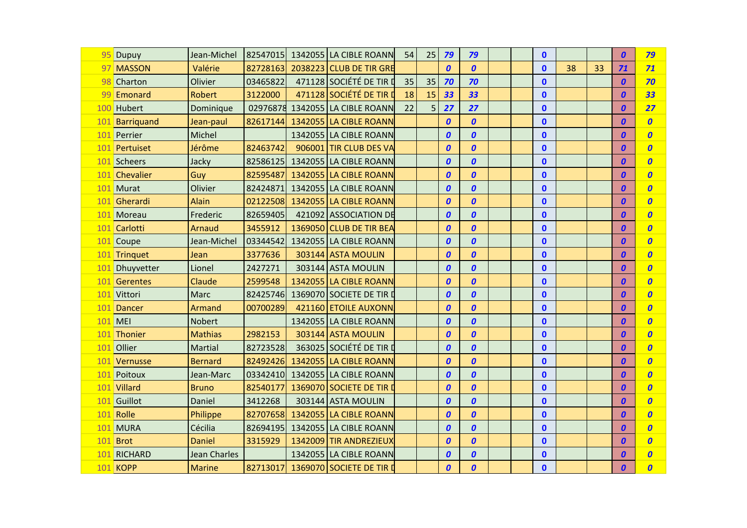| 95 Dupuy        | Jean-Michel         |          | 82547015 1342055 LA CIBLE ROANN | 54 | 25 | 79               | 79               |  | $\mathbf{0}$ |    |    | 0                | 79               |
|-----------------|---------------------|----------|---------------------------------|----|----|------------------|------------------|--|--------------|----|----|------------------|------------------|
| 97 MASSON       | Valérie             | 82728163 | 2038223 CLUB DE TIR GRE         |    |    | $\boldsymbol{0}$ | $\boldsymbol{o}$ |  | $\mathbf{0}$ | 38 | 33 | 71               | 71               |
| 98 Charton      | Olivier             | 03465822 | 471128 SOCIÉTÉ DE TIR D         | 35 | 35 | 70               | 70               |  | $\mathbf{0}$ |    |    | $\boldsymbol{0}$ | 70               |
| 99 Emonard      | <b>Robert</b>       | 3122000  | 471128 SOCIÉTÉ DE TIR I         | 18 | 15 | 33               | 33               |  | $\mathbf{0}$ |    |    | $\boldsymbol{0}$ | 33               |
| 100 Hubert      | Dominique           |          | 02976878 1342055 LA CIBLE ROANN | 22 | 5  | 27               | 27               |  | $\mathbf{0}$ |    |    | 0                | 27               |
| 101 Barriquand  | Jean-paul           | 82617144 | 1342055 LA CIBLE ROANN          |    |    | $\boldsymbol{0}$ | $\boldsymbol{o}$ |  | $\mathbf 0$  |    |    | 0                | $\boldsymbol{0}$ |
| 101 Perrier     | Michel              |          | 1342055 LA CIBLE ROANN          |    |    | $\boldsymbol{0}$ | $\boldsymbol{o}$ |  | $\mathbf{0}$ |    |    | $\boldsymbol{0}$ | $\boldsymbol{0}$ |
| 101 Pertuiset   | Jérôme              | 82463742 | 906001 TIR CLUB DES VA          |    |    | $\boldsymbol{0}$ | $\boldsymbol{0}$ |  | $\mathbf{0}$ |    |    | 0                | $\boldsymbol{o}$ |
| 101 Scheers     | Jacky               | 82586125 | 1342055 LA CIBLE ROANN          |    |    | $\boldsymbol{0}$ | $\boldsymbol{o}$ |  | $\mathbf 0$  |    |    | 0                | $\boldsymbol{0}$ |
| 101 Chevalier   | Guy                 | 82595487 | 1342055 LA CIBLE ROANN          |    |    | $\boldsymbol{0}$ | $\boldsymbol{o}$ |  | $\mathbf{0}$ |    |    | 0                | $\boldsymbol{0}$ |
| 101 Murat       | Olivier             | 82424871 | 1342055 LA CIBLE ROANN          |    |    | $\boldsymbol{0}$ | $\boldsymbol{o}$ |  | $\mathbf{0}$ |    |    | 0                | $\boldsymbol{0}$ |
| 101 Gherardi    | <b>Alain</b>        | 02122508 | 1342055 LA CIBLE ROANN          |    |    | 0                | $\boldsymbol{0}$ |  | $\mathbf{0}$ |    |    | 0                | $\boldsymbol{0}$ |
| 101 Moreau      | Frederic            | 82659405 | 421092 ASSOCIATION DE           |    |    | $\boldsymbol{0}$ | $\boldsymbol{o}$ |  | $\mathbf 0$  |    |    | $\boldsymbol{0}$ | $\boldsymbol{o}$ |
| 101 Carlotti    | Arnaud              | 3455912  | 1369050 CLUB DE TIR BEA         |    |    | $\boldsymbol{0}$ | $\boldsymbol{0}$ |  | $\mathbf{0}$ |    |    | 0                | $\boldsymbol{0}$ |
| 101 Coupe       | Jean-Michel         | 03344542 | 1342055 LA CIBLE ROANN          |    |    | 0                | $\boldsymbol{0}$ |  | $\mathbf{0}$ |    |    | 0                | $\boldsymbol{0}$ |
| 101 Trinquet    | Jean                | 3377636  | 303144 ASTA MOULIN              |    |    | $\boldsymbol{0}$ | $\boldsymbol{0}$ |  | $\mathbf 0$  |    |    | 0                | $\boldsymbol{o}$ |
| 101 Dhuyvetter  | Lionel              | 2427271  | 303144 ASTA MOULIN              |    |    | $\boldsymbol{0}$ | $\boldsymbol{0}$ |  | $\mathbf{0}$ |    |    | 0                | $\boldsymbol{0}$ |
| 101 Gerentes    | Claude              | 2599548  | 1342055 LA CIBLE ROANN          |    |    | 0                | $\boldsymbol{0}$ |  | $\mathbf{0}$ |    |    | 0                | $\boldsymbol{0}$ |
| 101 Vittori     | <b>Marc</b>         | 82425746 | 1369070 SOCIETE DE TIR D        |    |    | $\boldsymbol{0}$ | $\boldsymbol{0}$ |  | $\mathbf 0$  |    |    | $\boldsymbol{0}$ | $\boldsymbol{o}$ |
| 101 Dancer      | Armand              | 00700289 | 421160 ETOILE AUXONN            |    |    | $\boldsymbol{0}$ | $\boldsymbol{0}$ |  | $\mathbf{0}$ |    |    | $\boldsymbol{0}$ | $\boldsymbol{0}$ |
| $101$ MEI       | Nobert              |          | 1342055 LA CIBLE ROANN          |    |    | 0                | $\boldsymbol{o}$ |  | $\mathbf{0}$ |    |    | 0                | $\boldsymbol{0}$ |
| 101 Thonier     | <b>Mathias</b>      | 2982153  | 303144 ASTA MOULIN              |    |    | 0                | $\boldsymbol{o}$ |  | $\mathbf{0}$ |    |    | 0                | $\boldsymbol{0}$ |
| 101 Ollier      | Martial             | 82723528 | 363025 SOCIÉTÉ DE TIR D         |    |    | $\boldsymbol{0}$ | $\boldsymbol{o}$ |  | $\mathbf 0$  |    |    | $\boldsymbol{0}$ | $\boldsymbol{o}$ |
| 101 Vernusse    | <b>Bernard</b>      | 82492426 | 1342055 LA CIBLE ROANN          |    |    | 0                | $\boldsymbol{o}$ |  | $\mathbf{0}$ |    |    | 0                | $\boldsymbol{0}$ |
| 101 Poitoux     | Jean-Marc           |          | 03342410 1342055 LA CIBLE ROANN |    |    | $\boldsymbol{0}$ | $\boldsymbol{o}$ |  | $\mathbf{0}$ |    |    | $\boldsymbol{0}$ | $\boldsymbol{0}$ |
| 101 Villard     | <b>Bruno</b>        | 82540177 | 1369070 SOCIETE DE TIR I        |    |    | $\boldsymbol{0}$ | $\boldsymbol{o}$ |  | $\mathbf{0}$ |    |    | $\boldsymbol{0}$ | $\boldsymbol{0}$ |
| 101 Guillot     | Daniel              | 3412268  | 303144 ASTA MOULIN              |    |    | $\boldsymbol{0}$ | $\boldsymbol{o}$ |  | $\mathbf{0}$ |    |    | 0                | $\boldsymbol{0}$ |
| 101 Rolle       | Philippe            | 82707658 | 1342055 LA CIBLE ROANN          |    |    | $\boldsymbol{0}$ | $\boldsymbol{0}$ |  | $\mathbf{0}$ |    |    | 0                | $\boldsymbol{0}$ |
| 101 MURA        | Cécilia             |          | 82694195 1342055 LA CIBLE ROANN |    |    | $\boldsymbol{0}$ | $\boldsymbol{o}$ |  | $\mathbf{0}$ |    |    | 0                | $\boldsymbol{o}$ |
| 101 Brot        | <b>Daniel</b>       | 3315929  | 1342009 TIR ANDREZIEUX          |    |    | $\boldsymbol{0}$ | $\boldsymbol{0}$ |  | $\mathbf{0}$ |    |    | 0                | $\boldsymbol{0}$ |
| 101 RICHARD     | <b>Jean Charles</b> |          | 1342055 LA CIBLE ROANN          |    |    | $\boldsymbol{0}$ | $\boldsymbol{0}$ |  | $\mathbf{0}$ |    |    | $\boldsymbol{0}$ | $\boldsymbol{0}$ |
| <b>101 KOPP</b> | <b>Marine</b>       | 82713017 | 1369070 SOCIETE DE TIR D        |    |    | $\boldsymbol{0}$ | $\boldsymbol{0}$ |  | $\mathbf{0}$ |    |    | 0                | $\boldsymbol{0}$ |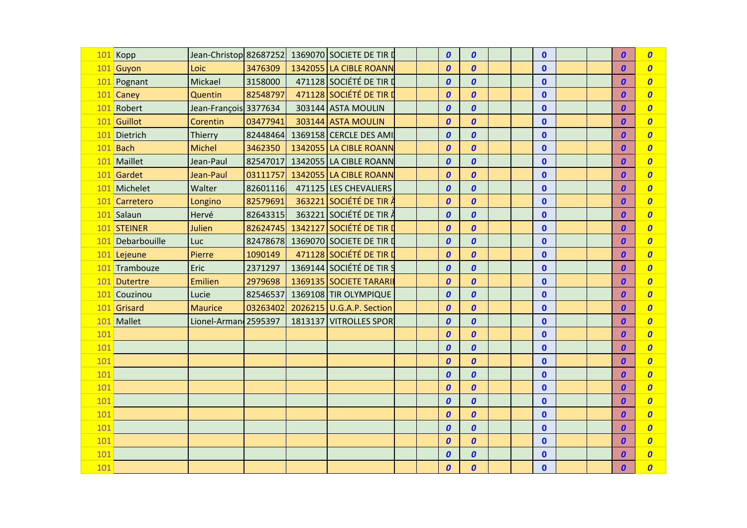|     | 101 Kopp         | Jean-Christop 82687252 |          | 1369070 SOCIETE DE TIR D |  | $\boldsymbol{0}$ | $\boldsymbol{0}$ |  | $\mathbf{0}$ |  | $\boldsymbol{0}$ | $\boldsymbol{o}$ |
|-----|------------------|------------------------|----------|--------------------------|--|------------------|------------------|--|--------------|--|------------------|------------------|
|     | 101 Guyon        | Loic                   | 3476309  | 1342055 LA CIBLE ROANN   |  | $\boldsymbol{0}$ | $\boldsymbol{0}$ |  | $\mathbf{0}$ |  | $\boldsymbol{0}$ | $\boldsymbol{0}$ |
|     | 101 Pognant      | Mickael                | 3158000  | 471128 SOCIÉTÉ DE TIR D  |  | $\boldsymbol{0}$ | $\boldsymbol{0}$ |  | $\mathbf{0}$ |  | $\boldsymbol{0}$ | $\boldsymbol{0}$ |
|     | 101 Caney        | Quentin                | 82548797 | 471128 SOCIÉTÉ DE TIR I  |  | $\boldsymbol{0}$ | $\boldsymbol{0}$ |  | $\mathbf{0}$ |  | $\boldsymbol{0}$ | $\boldsymbol{0}$ |
|     | 101 Robert       | Jean-François 3377634  |          | 303144 ASTA MOULIN       |  | $\boldsymbol{0}$ | $\boldsymbol{0}$ |  | $\mathbf{0}$ |  | 0                | $\boldsymbol{0}$ |
|     | 101 Guillot      | Corentin               | 03477941 | 303144 ASTA MOULIN       |  | $\boldsymbol{0}$ | $\boldsymbol{0}$ |  | $\mathbf 0$  |  | $\boldsymbol{0}$ | $\boldsymbol{0}$ |
|     | 101 Dietrich     | Thierry                | 82448464 | 1369158 CERCLE DES AMI:  |  | $\boldsymbol{0}$ | $\boldsymbol{0}$ |  | $\mathbf{0}$ |  | $\boldsymbol{0}$ | $\boldsymbol{o}$ |
|     | 101 Bach         | Michel                 | 3462350  | 1342055 LA CIBLE ROANN   |  | $\boldsymbol{0}$ | $\boldsymbol{0}$ |  | $\mathbf{0}$ |  | 0                | $\boldsymbol{0}$ |
|     | 101 Maillet      | Jean-Paul              | 82547017 | 1342055 LA CIBLE ROANN   |  | $\boldsymbol{0}$ | $\boldsymbol{0}$ |  | $\mathbf 0$  |  | $\boldsymbol{0}$ | $\boldsymbol{0}$ |
|     | 101 Gardet       | Jean-Paul              | 03111757 | 1342055 LA CIBLE ROANN   |  | $\boldsymbol{0}$ | $\boldsymbol{0}$ |  | $\mathbf{0}$ |  | $\boldsymbol{0}$ | $\boldsymbol{0}$ |
|     | 101 Michelet     | Walter                 | 82601116 | 471125 LES CHEVALIERS    |  | $\boldsymbol{0}$ | $\boldsymbol{0}$ |  | $\mathbf{0}$ |  | $\boldsymbol{0}$ | $\boldsymbol{0}$ |
|     | 101 Carretero    | Longino                | 82579691 | 363221 SOCIÉTÉ DE TIR    |  | $\boldsymbol{0}$ | $\boldsymbol{0}$ |  | $\mathbf 0$  |  | $\boldsymbol{0}$ | $\boldsymbol{0}$ |
|     | 101 Salaun       | Hervé                  | 82643315 | 363221 SOCIÉTÉ DE TIR À  |  | $\boldsymbol{0}$ | $\boldsymbol{0}$ |  | $\mathbf{0}$ |  | $\boldsymbol{0}$ | $\boldsymbol{0}$ |
|     | 101 STEINER      | Julien                 | 82624745 | 1342127 SOCIÉTÉ DE TIR D |  | $\boldsymbol{0}$ | $\boldsymbol{0}$ |  | $\mathbf{0}$ |  | $\boldsymbol{0}$ | $\boldsymbol{0}$ |
|     | 101 Debarbouille | Luc                    | 82478678 | 1369070 SOCIETE DE TIR D |  | $\boldsymbol{0}$ | $\boldsymbol{0}$ |  | $\mathbf 0$  |  | 0                | $\boldsymbol{0}$ |
|     | 101 Lejeune      | Pierre                 | 1090149  | 471128 SOCIÉTÉ DE TIR I  |  | $\boldsymbol{0}$ | $\boldsymbol{0}$ |  | $\mathbf{0}$ |  | $\boldsymbol{0}$ | $\boldsymbol{0}$ |
|     | 101 Trambouze    | Eric                   | 2371297  | 1369144 SOCIÉTÉ DE TIR S |  | $\boldsymbol{0}$ | $\boldsymbol{0}$ |  | $\mathbf{0}$ |  | $\boldsymbol{0}$ | $\boldsymbol{0}$ |
|     | 101 Dutertre     | Emilien                | 2979698  | 1369135 SOCIETE TARARI   |  | $\boldsymbol{0}$ | $\boldsymbol{0}$ |  | $\mathbf{0}$ |  | $\boldsymbol{0}$ | $\boldsymbol{0}$ |
|     | 101 Couzinou     | Lucie                  | 82546537 | 1369108 TIR OLYMPIQUE    |  | $\boldsymbol{0}$ | $\boldsymbol{0}$ |  | $\mathbf{0}$ |  | $\boldsymbol{0}$ | $\boldsymbol{0}$ |
|     | 101 Grisard      | <b>Maurice</b>         | 03263402 | 2026215 U.G.A.P. Section |  | $\boldsymbol{0}$ | $\boldsymbol{0}$ |  | $\mathbf{0}$ |  | $\boldsymbol{0}$ | $\boldsymbol{0}$ |
|     | 101 Mallet       | Lionel-Arman 2595397   |          | 1813137 VITROLLES SPOR   |  | $\boldsymbol{0}$ | $\boldsymbol{0}$ |  | $\mathbf 0$  |  | $\boldsymbol{0}$ | $\boldsymbol{0}$ |
| 101 |                  |                        |          |                          |  | $\boldsymbol{0}$ | $\boldsymbol{0}$ |  | $\mathbf{0}$ |  | 0                | $\boldsymbol{0}$ |
| 101 |                  |                        |          |                          |  | $\boldsymbol{0}$ | $\boldsymbol{0}$ |  | $\mathbf{0}$ |  | $\boldsymbol{0}$ | $\boldsymbol{0}$ |
| 101 |                  |                        |          |                          |  | $\boldsymbol{0}$ | $\boldsymbol{0}$ |  | $\mathbf{0}$ |  | $\boldsymbol{0}$ | $\boldsymbol{0}$ |
| 101 |                  |                        |          |                          |  | $\boldsymbol{0}$ | $\boldsymbol{0}$ |  | $\mathbf{0}$ |  | $\boldsymbol{0}$ | $\boldsymbol{o}$ |
| 101 |                  |                        |          |                          |  | $\boldsymbol{0}$ | $\boldsymbol{0}$ |  | $\mathbf{0}$ |  | $\boldsymbol{0}$ | $\boldsymbol{0}$ |
| 101 |                  |                        |          |                          |  | $\boldsymbol{0}$ | $\boldsymbol{0}$ |  | $\mathbf{0}$ |  | $\boldsymbol{0}$ | $\boldsymbol{0}$ |
| 101 |                  |                        |          |                          |  | $\boldsymbol{0}$ | $\boldsymbol{0}$ |  | $\mathbf{0}$ |  | $\boldsymbol{0}$ | $\boldsymbol{0}$ |
| 101 |                  |                        |          |                          |  | $\boldsymbol{0}$ | $\boldsymbol{0}$ |  | $\mathbf{0}$ |  | $\boldsymbol{0}$ | $\boldsymbol{0}$ |
| 101 |                  |                        |          |                          |  | $\boldsymbol{0}$ | $\boldsymbol{0}$ |  | $\mathbf{0}$ |  | $\boldsymbol{0}$ | $\boldsymbol{0}$ |
| 101 |                  |                        |          |                          |  | $\boldsymbol{0}$ | $\boldsymbol{0}$ |  | $\mathbf{0}$ |  | 0                | $\boldsymbol{0}$ |
| 101 |                  |                        |          |                          |  | $\boldsymbol{0}$ | $\boldsymbol{0}$ |  | $\mathbf{0}$ |  | 0                | $\boldsymbol{0}$ |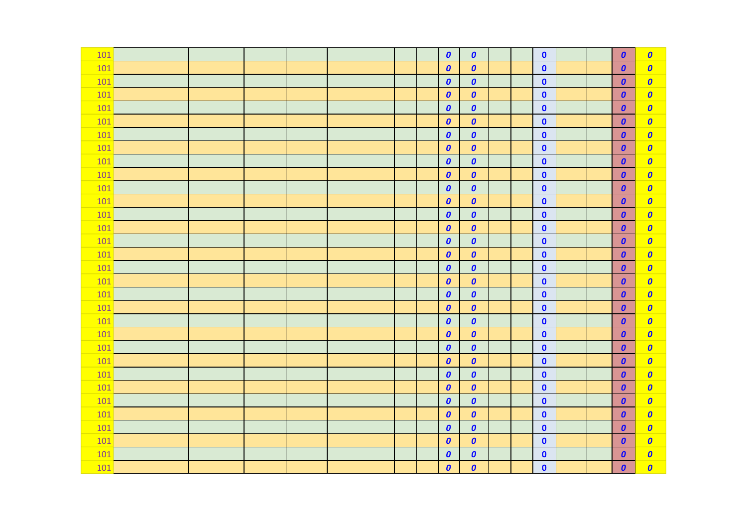| 101 |  |  |  | $\boldsymbol{0}$   | $\boldsymbol{0}$   |  | $\mathbf{0}$ |  | $\boldsymbol{0}$ | $\boldsymbol{0}$ |
|-----|--|--|--|--------------------|--------------------|--|--------------|--|------------------|------------------|
| 101 |  |  |  | $\boldsymbol{o}$   | $\boldsymbol{o}$   |  | $\bullet$    |  | $\boldsymbol{0}$ | $\boldsymbol{o}$ |
| 101 |  |  |  | $\pmb{\mathit{0}}$ | $\boldsymbol{o}$   |  | $\bullet$    |  | $\boldsymbol{0}$ | $\boldsymbol{0}$ |
| 101 |  |  |  | $\boldsymbol{0}$   | $\boldsymbol{o}$   |  | $\mathbf 0$  |  | $\boldsymbol{0}$ | $\boldsymbol{0}$ |
| 101 |  |  |  | $\boldsymbol{o}$   | $\boldsymbol{o}$   |  | $\bullet$    |  | $\boldsymbol{0}$ | $\boldsymbol{0}$ |
| 101 |  |  |  | $\boldsymbol{0}$   | $\boldsymbol{o}$   |  | $\pmb{0}$    |  | $\boldsymbol{0}$ | $\boldsymbol{0}$ |
| 101 |  |  |  | $\boldsymbol{o}$   | $\boldsymbol{o}$   |  | $\bullet$    |  | $\boldsymbol{0}$ | $\boldsymbol{0}$ |
| 101 |  |  |  | $\boldsymbol{0}$   | $\boldsymbol{o}$   |  | $\mathbf{0}$ |  | $\boldsymbol{0}$ | $\boldsymbol{0}$ |
| 101 |  |  |  | $\pmb{\mathit{0}}$ | $\boldsymbol{o}$   |  | $\mathbf 0$  |  | $\boldsymbol{0}$ | $\boldsymbol{0}$ |
| 101 |  |  |  | $\boldsymbol{0}$   | $\boldsymbol{o}$   |  | $\bullet$    |  | $\boldsymbol{0}$ | $\boldsymbol{o}$ |
| 101 |  |  |  | $\boldsymbol{o}$   | $\boldsymbol{o}$   |  | $\bullet$    |  | $\boldsymbol{0}$ | $\boldsymbol{0}$ |
| 101 |  |  |  | $\boldsymbol{0}$   | $\boldsymbol{o}$   |  | $\bullet$    |  | $\boldsymbol{0}$ | $\boldsymbol{0}$ |
| 101 |  |  |  | $\boldsymbol{o}$   | $\boldsymbol{o}$   |  | $\bullet$    |  | $\boldsymbol{0}$ | $\boldsymbol{0}$ |
| 101 |  |  |  | $\boldsymbol{o}$   | $\boldsymbol{o}$   |  | $\mathbf{0}$ |  | $\boldsymbol{0}$ | $\boldsymbol{0}$ |
| 101 |  |  |  | $\boldsymbol{o}$   | $\boldsymbol{o}$   |  | $\mathbf 0$  |  | $\boldsymbol{0}$ | $\boldsymbol{0}$ |
| 101 |  |  |  | $\boldsymbol{0}$   | $\boldsymbol{o}$   |  | $\bullet$    |  | $\boldsymbol{0}$ | $\boldsymbol{o}$ |
| 101 |  |  |  | $\boldsymbol{0}$   | $\boldsymbol{o}$   |  | $\mathbf 0$  |  | $\boldsymbol{o}$ | $\boldsymbol{0}$ |
| 101 |  |  |  | $\boldsymbol{0}$   | $\boldsymbol{o}$   |  | $\mathbf 0$  |  | $\boldsymbol{0}$ | $\boldsymbol{0}$ |
| 101 |  |  |  | $\boldsymbol{o}$   | $\boldsymbol{o}$   |  | $\bullet$    |  | $\boldsymbol{0}$ | $\boldsymbol{0}$ |
| 101 |  |  |  | $\boldsymbol{0}$   | $\boldsymbol{o}$   |  | $\mathbf 0$  |  | $\boldsymbol{o}$ | $\boldsymbol{0}$ |
| 101 |  |  |  | $\boldsymbol{0}$   | $\pmb{o}$          |  | $\mathbf 0$  |  | $\boldsymbol{0}$ | $\boldsymbol{o}$ |
| 101 |  |  |  | $\boldsymbol{0}$   | $\boldsymbol{o}$   |  | $\bullet$    |  | $\boldsymbol{0}$ | $\boldsymbol{0}$ |
| 101 |  |  |  | $\boldsymbol{0}$   | $\boldsymbol{o}$   |  | $\mathbf 0$  |  | $\boldsymbol{0}$ | $\boldsymbol{0}$ |
| 101 |  |  |  | $\boldsymbol{0}$   | $\boldsymbol{o}$   |  | $\mathbf 0$  |  | $\boldsymbol{0}$ | $\boldsymbol{0}$ |
| 101 |  |  |  | $\boldsymbol{o}$   | $\boldsymbol{o}$   |  | $\bullet$    |  | $\boldsymbol{0}$ | $\boldsymbol{o}$ |
| 101 |  |  |  | $\boldsymbol{0}$   | $\boldsymbol{o}$   |  | $\bullet$    |  | $\boldsymbol{0}$ | $\boldsymbol{0}$ |
| 101 |  |  |  | $\pmb{\mathit{0}}$ | $\pmb{\mathit{0}}$ |  | $\pmb{0}$    |  | $\boldsymbol{0}$ | $\boldsymbol{o}$ |
| 101 |  |  |  | $\boldsymbol{0}$   | $\boldsymbol{o}$   |  | $\bullet$    |  | $\boldsymbol{0}$ | $\boldsymbol{0}$ |
| 101 |  |  |  | $\boldsymbol{0}$   | $\boldsymbol{o}$   |  | $\mathbf{0}$ |  | $\boldsymbol{0}$ | $\boldsymbol{0}$ |
| 101 |  |  |  | $\boldsymbol{0}$   | $\boldsymbol{o}$   |  | $\mathbf 0$  |  | $\boldsymbol{0}$ | $\boldsymbol{o}$ |
| 101 |  |  |  | $\pmb{\mathit{0}}$ | $\pmb{o}$          |  | $\bullet$    |  | $\boldsymbol{0}$ | $\boldsymbol{0}$ |
| 101 |  |  |  | $\boldsymbol{0}$   | $\boldsymbol{o}$   |  | $\bullet$    |  | $\boldsymbol{0}$ | $\boldsymbol{0}$ |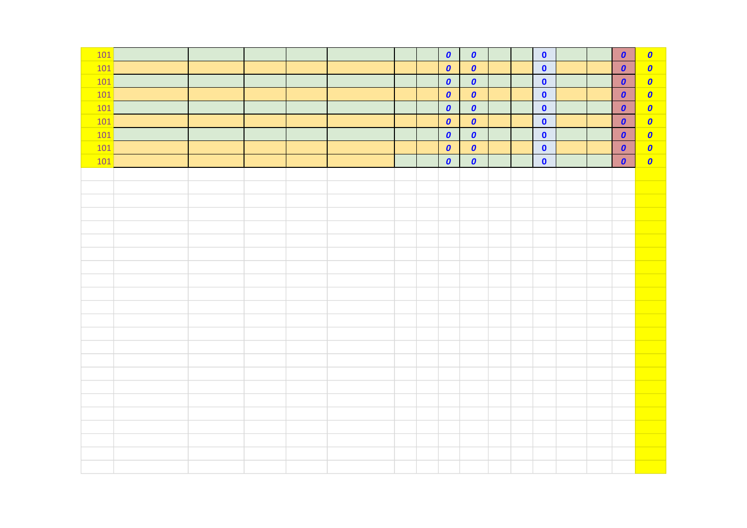| 101 |  |  |  | $\boldsymbol{o}$ | $\boldsymbol{o}$ |  | $\bullet$   |  | $\boldsymbol{0}$ | $\boldsymbol{o}$ |
|-----|--|--|--|------------------|------------------|--|-------------|--|------------------|------------------|
|     |  |  |  |                  |                  |  |             |  |                  |                  |
| 101 |  |  |  | $\boldsymbol{o}$ | $\boldsymbol{0}$ |  | $\bullet$   |  | $\boldsymbol{0}$ | $\bullet$        |
| 101 |  |  |  | $\boldsymbol{o}$ | $\pmb{o}$        |  | $\pmb{0}$   |  | $\boldsymbol{0}$ | $\boldsymbol{o}$ |
| 101 |  |  |  | $\boldsymbol{o}$ | $\boldsymbol{0}$ |  | $\pmb{0}$   |  | $\boldsymbol{0}$ | $\boldsymbol{o}$ |
| 101 |  |  |  | $\boldsymbol{o}$ | $\boldsymbol{o}$ |  | $\pmb{0}$   |  | $\boldsymbol{0}$ | $\bullet$        |
| 101 |  |  |  | $\boldsymbol{o}$ | $\boldsymbol{o}$ |  | $\pmb{0}$   |  | $\boldsymbol{0}$ | $\bullet$        |
| 101 |  |  |  | $\boldsymbol{o}$ | $\boldsymbol{0}$ |  | $\mathbf 0$ |  | $\boldsymbol{0}$ | $\boldsymbol{o}$ |
| 101 |  |  |  | $\boldsymbol{0}$ | $\boldsymbol{0}$ |  | $\pmb{0}$   |  | $\boldsymbol{o}$ | $\bullet$        |
| 101 |  |  |  | $\boldsymbol{o}$ | $\boldsymbol{0}$ |  | $\bullet$   |  | $\boldsymbol{0}$ | $\boldsymbol{o}$ |
|     |  |  |  |                  |                  |  |             |  |                  |                  |
|     |  |  |  |                  |                  |  |             |  |                  |                  |
|     |  |  |  |                  |                  |  |             |  |                  |                  |
|     |  |  |  |                  |                  |  |             |  |                  |                  |
|     |  |  |  |                  |                  |  |             |  |                  |                  |
|     |  |  |  |                  |                  |  |             |  |                  |                  |
|     |  |  |  |                  |                  |  |             |  |                  |                  |
|     |  |  |  |                  |                  |  |             |  |                  |                  |
|     |  |  |  |                  |                  |  |             |  |                  |                  |
|     |  |  |  |                  |                  |  |             |  |                  |                  |
|     |  |  |  |                  |                  |  |             |  |                  |                  |
|     |  |  |  |                  |                  |  |             |  |                  |                  |
|     |  |  |  |                  |                  |  |             |  |                  |                  |
|     |  |  |  |                  |                  |  |             |  |                  |                  |
|     |  |  |  |                  |                  |  |             |  |                  |                  |
|     |  |  |  |                  |                  |  |             |  |                  |                  |
|     |  |  |  |                  |                  |  |             |  |                  |                  |
|     |  |  |  |                  |                  |  |             |  |                  |                  |
|     |  |  |  |                  |                  |  |             |  |                  |                  |
|     |  |  |  |                  |                  |  |             |  |                  |                  |
|     |  |  |  |                  |                  |  |             |  |                  |                  |
|     |  |  |  |                  |                  |  |             |  |                  |                  |
|     |  |  |  |                  |                  |  |             |  |                  |                  |
|     |  |  |  |                  |                  |  |             |  |                  |                  |
|     |  |  |  |                  |                  |  |             |  |                  |                  |